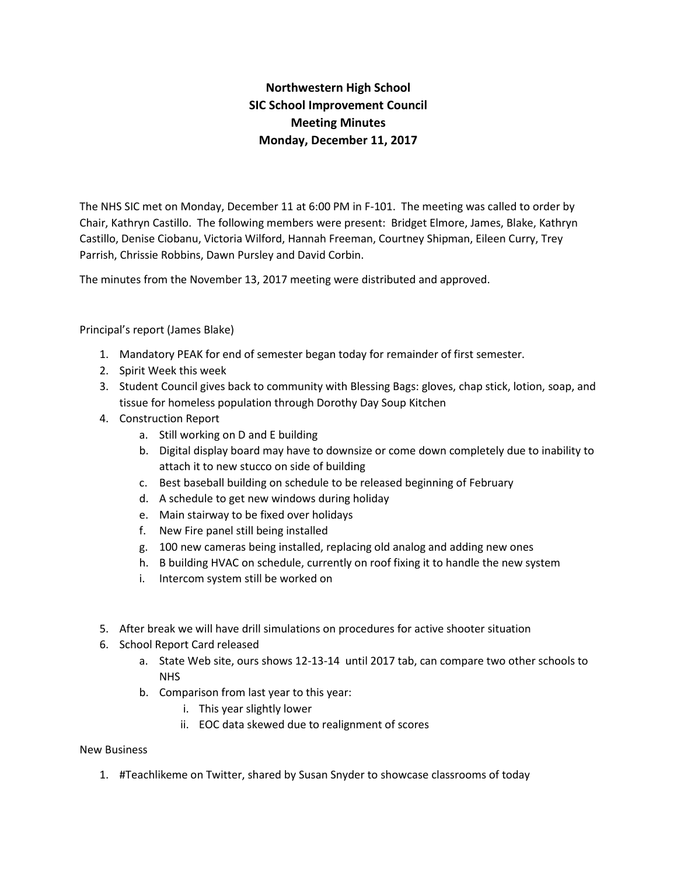## **Northwestern High School SIC School Improvement Council Meeting Minutes Monday, December 11, 2017**

The NHS SIC met on Monday, December 11 at 6:00 PM in F-101. The meeting was called to order by Chair, Kathryn Castillo. The following members were present: Bridget Elmore, James, Blake, Kathryn Castillo, Denise Ciobanu, Victoria Wilford, Hannah Freeman, Courtney Shipman, Eileen Curry, Trey Parrish, Chrissie Robbins, Dawn Pursley and David Corbin.

The minutes from the November 13, 2017 meeting were distributed and approved.

Principal's report (James Blake)

- 1. Mandatory PEAK for end of semester began today for remainder of first semester.
- 2. Spirit Week this week
- 3. Student Council gives back to community with Blessing Bags: gloves, chap stick, lotion, soap, and tissue for homeless population through Dorothy Day Soup Kitchen
- 4. Construction Report
	- a. Still working on D and E building
	- b. Digital display board may have to downsize or come down completely due to inability to attach it to new stucco on side of building
	- c. Best baseball building on schedule to be released beginning of February
	- d. A schedule to get new windows during holiday
	- e. Main stairway to be fixed over holidays
	- f. New Fire panel still being installed
	- g. 100 new cameras being installed, replacing old analog and adding new ones
	- h. B building HVAC on schedule, currently on roof fixing it to handle the new system
	- i. Intercom system still be worked on
- 5. After break we will have drill simulations on procedures for active shooter situation
- 6. School Report Card released
	- a. State Web site, ours shows 12-13-14 until 2017 tab, can compare two other schools to NHS
	- b. Comparison from last year to this year:
		- i. This year slightly lower
		- ii. EOC data skewed due to realignment of scores

## New Business

1. #Teachlikeme on Twitter, shared by Susan Snyder to showcase classrooms of today